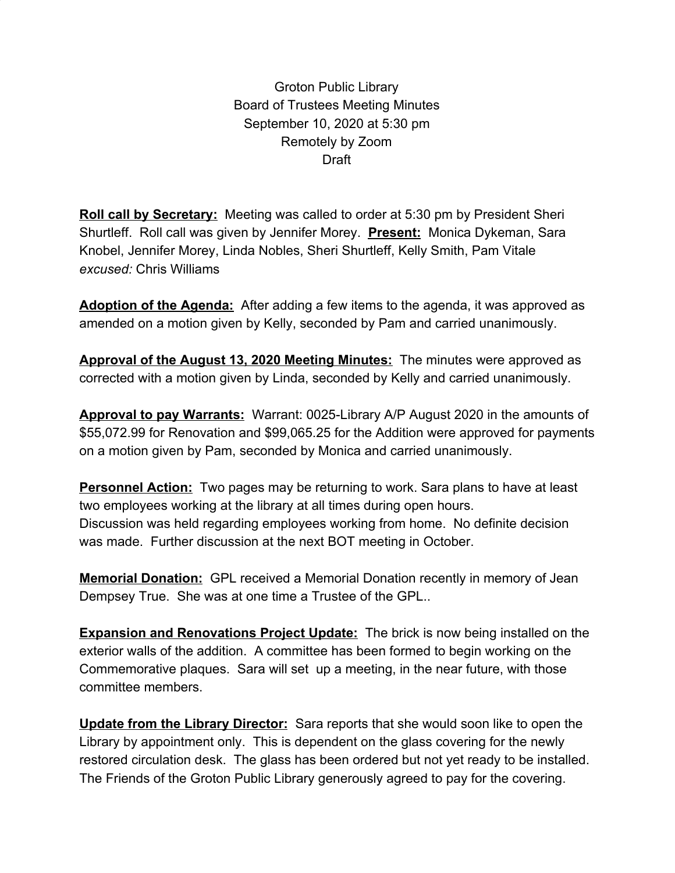Groton Public Library Board of Trustees Meeting Minutes September 10, 2020 at 5:30 pm Remotely by Zoom **Draft** 

**Roll call by Secretary:** Meeting was called to order at 5:30 pm by President Sheri Shurtleff. Roll call was given by Jennifer Morey. **Present:** Monica Dykeman, Sara Knobel, Jennifer Morey, Linda Nobles, Sheri Shurtleff, Kelly Smith, Pam Vitale *excused:* Chris Williams

**Adoption of the Agenda:** After adding a few items to the agenda, it was approved as amended on a motion given by Kelly, seconded by Pam and carried unanimously.

**Approval of the August 13, 2020 Meeting Minutes:** The minutes were approved as corrected with a motion given by Linda, seconded by Kelly and carried unanimously.

**Approval to pay Warrants:** Warrant: 0025-Library A/P August 2020 in the amounts of \$55,072.99 for Renovation and \$99,065.25 for the Addition were approved for payments on a motion given by Pam, seconded by Monica and carried unanimously.

**Personnel Action:** Two pages may be returning to work. Sara plans to have at least two employees working at the library at all times during open hours. Discussion was held regarding employees working from home. No definite decision was made. Further discussion at the next BOT meeting in October.

**Memorial Donation:** GPL received a Memorial Donation recently in memory of Jean Dempsey True. She was at one time a Trustee of the GPL..

**Expansion and Renovations Project Update:** The brick is now being installed on the exterior walls of the addition. A committee has been formed to begin working on the Commemorative plaques. Sara will set up a meeting, in the near future, with those committee members.

**Update from the Library Director:** Sara reports that she would soon like to open the Library by appointment only. This is dependent on the glass covering for the newly restored circulation desk. The glass has been ordered but not yet ready to be installed. The Friends of the Groton Public Library generously agreed to pay for the covering.